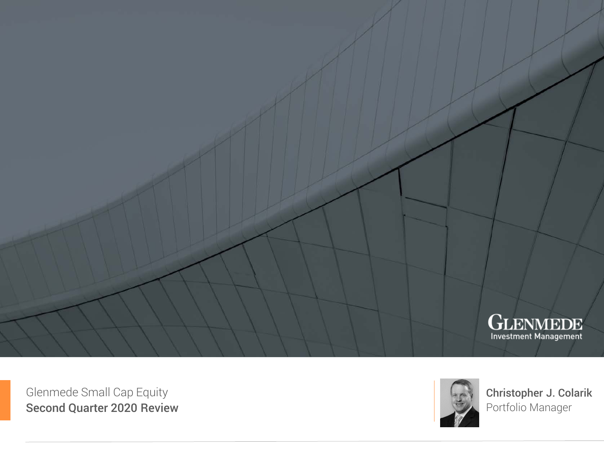

Glenmede Small Cap Equity Second Quarter 2020 Review



Christopher J. Colarik Portfolio Manager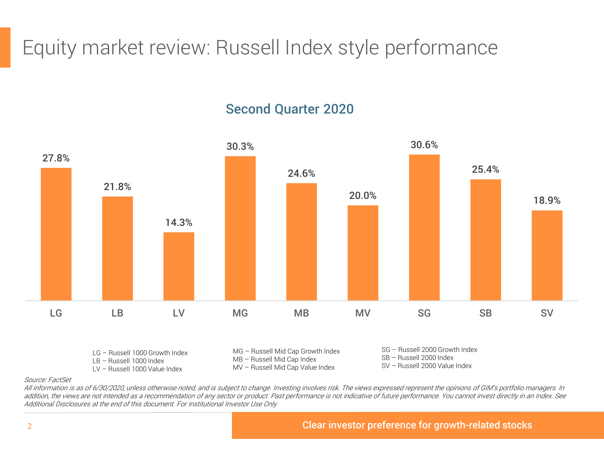Equity market review: Russell Index style performance

## Second Quarter 2020



### Source: FactSet

All information is as of 6/30/2020, unless otherwise noted, and is subject to change. Investing involves risk. The views expressed represent the opinions of GIM's portfolio managers. In addition, the views are not intended as a recommendation of any sector or product. Past performance is not indicative of future performance. You cannot invest directly in an Index. See Additional Disclosures at the end of this document. For Institutional Investor Use Only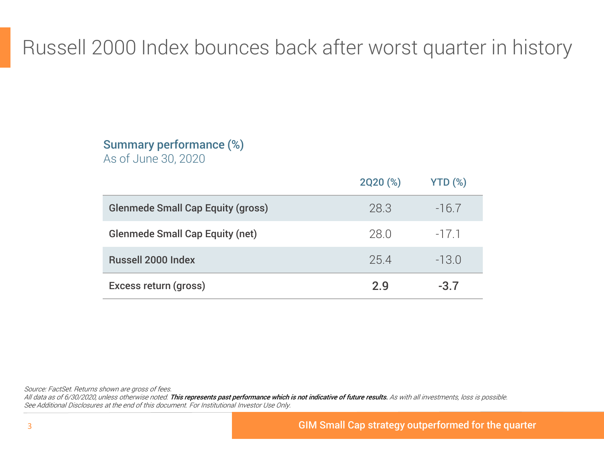# Russell 2000 Index bounces back after worst quarter in history

# Summary performance (%)

As of June 30, 2020

|                                          | 2Q20 (%) | $YTD$ $(*)$ |
|------------------------------------------|----------|-------------|
| <b>Glenmede Small Cap Equity (gross)</b> | 28.3     | $-16.7$     |
| <b>Glenmede Small Cap Equity (net)</b>   | 28.0     | $-17.1$     |
| <b>Russell 2000 Index</b>                | 254      | $-13.0$     |
| Excess return (gross)                    | 2.9      | $-3.7$      |

Source: FactSet. Returns shown are gross of fees.

All data as of 6/30/2020, unless otherwise noted. This represents past performance which is not indicative of future results. As with all investments, loss is possible. See Additional Disclosures at the end of this document. For Institutional Investor Use Only.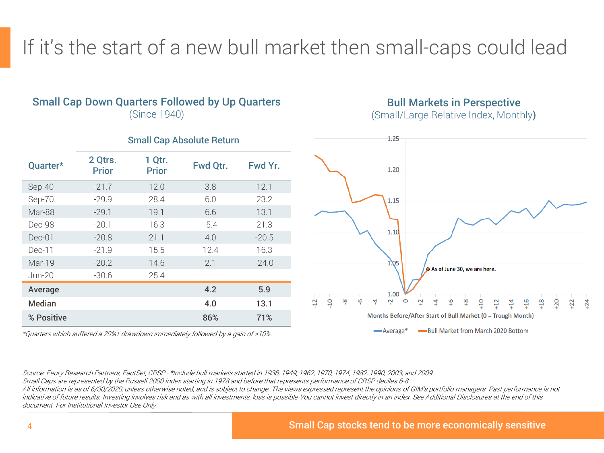If it's the start of a new bull market then small-caps could lead

## Small Cap Down Quarters Followed by Up Quarters

(Since 1940)

### Bull Markets in Perspective

(Small/Large Relative Index, Monthly)

| Quarter*      | 2 Qtrs.<br><b>Prior</b> | 1 Qtr.<br><b>Prior</b> | Fwd Qtr. | Fwd Yr. |
|---------------|-------------------------|------------------------|----------|---------|
| Sep-40        | $-21.7$                 | 12.0                   | 3.8      | 12.1    |
| Sep-70        | $-29.9$                 | 28.4                   | 6.0      | 23.2    |
| Mar-88        | $-29.1$                 | 19.1                   | 6.6      | 13.1    |
| Dec-98        | $-20.1$                 | 16.3                   | $-5.4$   | 21.3    |
| Dec-01        | $-20.8$                 | 21.1                   | 4.0      | $-20.5$ |
| Dec-11        | $-21.9$                 | 15.5                   | 12.4     | 16.3    |
| Mar-19        | $-20.2$                 | 14.6                   | 2.1      | $-24.0$ |
| Jun-20        | $-30.6$                 | 25.4                   |          |         |
| Average       |                         |                        | 4.2      | 5.9     |
| <b>Median</b> |                         |                        | 4.0      | 13.1    |
| % Positive    |                         |                        | 86%      | 71%     |

# Small Cap Absolute Return

1.25



\*Quarters which suffered a 20%+ drawdown immediately followed by a gain of >10%.

Source: Feury Research Partners, FactSet, CRSP - \*Include bull markets started in 1938, 1949, 1962, 1970, 1974, 1982, 1990, 2003, and 2009 Small Caps are represented by the Russell 2000 Index starting in 1978 and before that represents performance of CRSP deciles 6-8.

All information is as of 6/30/2020, unless otherwise noted, and is subject to change. The views expressed represent the opinions of GIM's portfolio managers. Past performance is not indicative of future results. Investing involves risk and as with all investments, loss is possible You cannot invest directly in an index. See Additional Disclosures at the end of this document. For Institutional Investor Use Only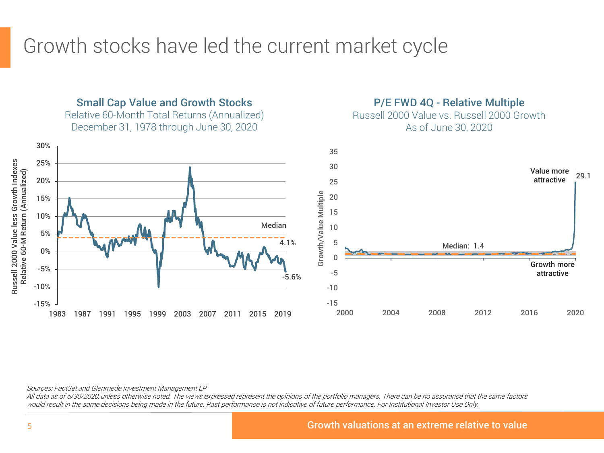# Growth stocks have led the current market cycle



Sources: FactSet and Glenmede Investment Management LP

All data as of 6/30/2020, unless otherwise noted. The views expressed represent the opinions of the portfolio managers. There can be no assurance that the same factors would result in the same decisions being made in the future. Past performance is not indicative of future performance. For Institutional Investor Use Only.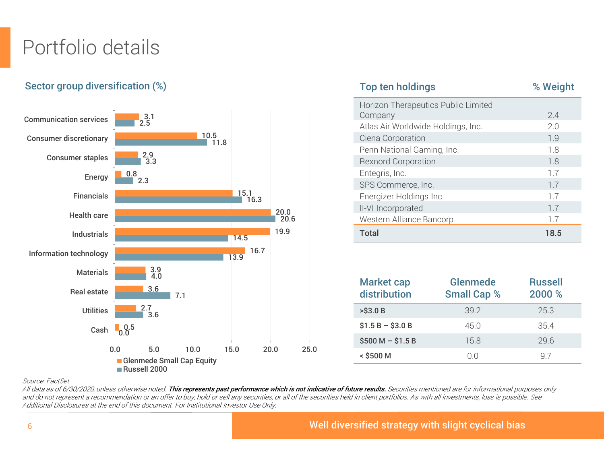# Portfolio details

## Sector group diversification (%)



| <b>Top ten holdings</b>             | % Weight |
|-------------------------------------|----------|
| Horizon Therapeutics Public Limited |          |
| Company                             | 2.4      |
| Atlas Air Worldwide Holdings, Inc.  | 2.0      |
| Ciena Corporation                   | 1.9      |
| Penn National Gaming, Inc.          | 1.8      |
| <b>Rexnord Corporation</b>          | 1.8      |
| Entegris, Inc.                      | 1.7      |
| SPS Commerce, Inc.                  | 1.7      |
| Energizer Holdings Inc.             | 1.7      |
| II-VI Incorporated                  | 1.7      |
| Western Alliance Bancorp            | 1.7      |
| <b>Total</b>                        | 18.5     |

| <b>Market cap</b><br>distribution | <b>Glenmede</b><br><b>Small Cap %</b> | <b>Russell</b><br>2000 % |
|-----------------------------------|---------------------------------------|--------------------------|
| $>$ \$3.0 B                       | 39.2                                  | 25.3                     |
| $$1.5 B - $3.0 B$                 | 45 O                                  | 35.4                     |
| $$500 M - $1.5 B$                 | 15.8                                  | 296                      |
| $<$ \$500 M                       | ΩO                                    | 9 7                      |

### Source: FactSet

All data as of 6/30/2020, unless otherwise noted. This represents past performance which is not indicative of future results. Securities mentioned are for informational purposes only and do not represent a recommendation or an offer to buy, hold or sell any securities, or all of the securities held in client portfolios. As with all investments, loss is possible. See Additional Disclosures at the end of this document. For Institutional Investor Use Only.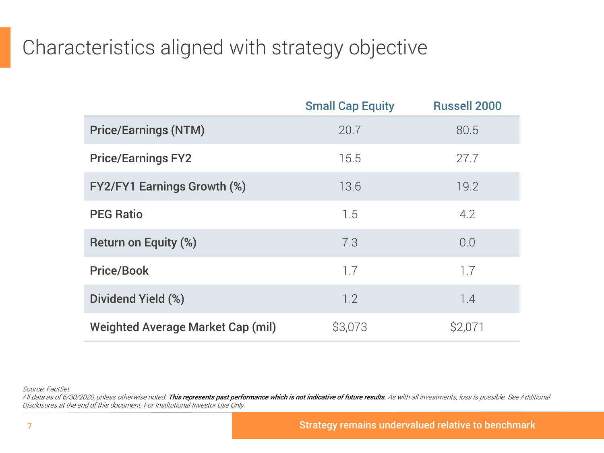# Characteristics aligned with strategy objective

|                                          | <b>Small Cap Equity</b> | <b>Russell 2000</b> |
|------------------------------------------|-------------------------|---------------------|
| <b>Price/Earnings (NTM)</b>              | 20.7                    | 80.5                |
| <b>Price/Earnings FY2</b>                | 15.5                    | 27.7                |
| <b>FY2/FY1 Earnings Growth (%)</b>       | 13.6                    | 19.2                |
| <b>PEG Ratio</b>                         | 1.5                     | 4.2                 |
| Return on Equity (%)                     | 7.3                     | 0.0                 |
| <b>Price/Book</b>                        | 1.7                     | 1.7                 |
| Dividend Yield (%)                       | 1.2                     | 1.4                 |
| <b>Weighted Average Market Cap (mil)</b> | \$3,073                 | \$2,071             |

Source: FactSet

All data as of 6/30/2020, unless otherwise noted. This represents past performance which is not indicative of future results. As with all investments, loss is possible. See Additional Disclosures at the end of this document. For Institutional Investor Use Only.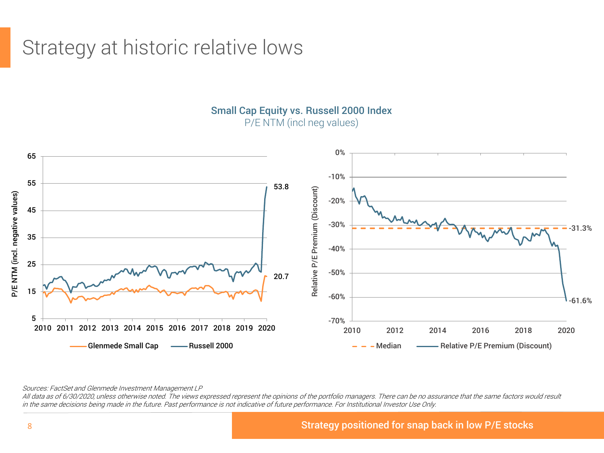# Strategy at historic relative lows



Small Cap Equity vs. Russell 2000 Index

P/E NTM (incl neg values)

Sources: FactSet and Glenmede Investment Management LP

All data as of 6/30/2020, unless otherwise noted. The views expressed represent the opinions of the portfolio managers. There can be no assurance that the same factors would result in the same decisions being made in the future. Past performance is not indicative of future performance. For Institutional Investor Use Only.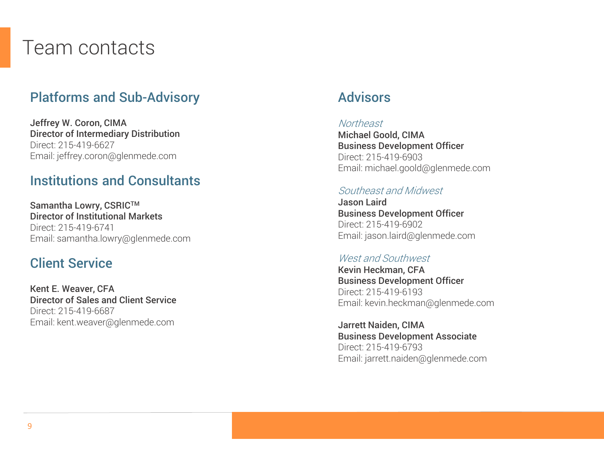# Team contacts

## Platforms and Sub-Advisory

Jeffrey W. Coron, CIMA Director of Intermediary Distribution Direct: 215-419-6627 Email: jeffrey.coron@glenmede.com

## Institutions and Consultants

Samantha Lowry, CSRIC™ Director of Institutional Markets Direct: 215-419-6741 Email: samantha.lowry@glenmede.com

## Client Service

Kent E. Weaver, CFA Director of Sales and Client Service Direct: 215-419-6687 Email: kent.weaver@glenmede.com

## Advisors

### **Northeast**

Michael Goold, CIMA Business Development Officer Direct: 215-419-6903 Email: michael.goold@glenmede.com

### Southeast and Midwest

Jason Laird Business Development Officer Direct: 215-419-6902 Email: jason.laird@glenmede.com

### West and Southwest

Kevin Heckman, CFA Business Development Officer Direct: 215-419-6193 Email: kevin.heckman@glenmede.com

Jarrett Naiden, CIMA Business Development Associate Direct: 215-419-6793 Email: jarrett.naiden@glenmede.com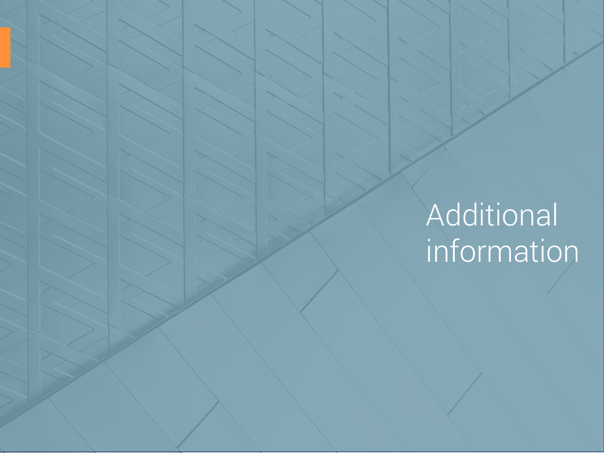# Additional information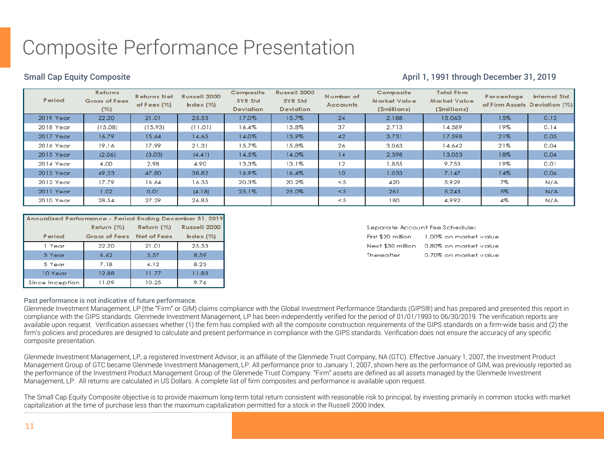# Composite Performance Presentation

### Small Cap Equity Composite **April 1, 1991 through December 31, 2019** April 1, 1991 through December 31, 2019

| Period    | <b>Returns</b><br>Gross of Fees<br>$(\%)$ | <b>Returns Net</b><br>of Fees $(\%)$ | Russell 2000<br>Index (%) | Composite<br>3YR Std<br><b>Deviation</b> | Russell 2000<br>3YR Std<br><b>Deviation</b> | Number of<br><b>Accounts</b> | Composite<br>Market Value<br>(Smillions) | <b>Total Firm</b><br><b>Market Value</b><br>(Smillions) | Percentage | <b>Internal Std</b><br>of Firm Assets Deviation (%) |
|-----------|-------------------------------------------|--------------------------------------|---------------------------|------------------------------------------|---------------------------------------------|------------------------------|------------------------------------------|---------------------------------------------------------|------------|-----------------------------------------------------|
| 2019 Year | 22.20                                     | 21.01                                | 25.53                     | 17.0%                                    | 15.7%                                       | 24                           | 2,188                                    | 15,063                                                  | 15%        | 0.12                                                |
| 2018 Year | (15.08)                                   | (15.93)                              | (11.01)                   | 16.4%                                    | 15.8%                                       | 37                           | 2.713                                    | 14,589                                                  | 19%        | 0.14                                                |
| 2017 Year | 16.79                                     | 15.64                                | 14.65                     | 14.0%                                    | 13.9%                                       | 42                           | 3,731                                    | 17,598                                                  | 21%        | 0.05                                                |
| 2016 Year | 19.16                                     | 17.99                                | 21.31                     | 15.7%                                    | 15.8%                                       | 26                           | 3,063                                    | 14,642                                                  | 21%        | 0.04                                                |
| 2015 Year | (2.06)                                    | (3.03)                               | (4.41)                    | 14.5%                                    | 14.0%                                       | 14                           | 2,398                                    | 13,053                                                  | 18%        | 0.04                                                |
| 2014 Year | 4.00                                      | 2.98                                 | 4.90                      | 13.3%                                    | 13.1%                                       | 12                           | 1,855                                    | 9,753                                                   | 19%        | 0.01                                                |
| 2013 Year | 49.23                                     | 47.80                                | 38.82                     | 16.9%                                    | 16.4%                                       | 10 <sup>°</sup>              | 1.033                                    | 7.147                                                   | 14%        | 0.06                                                |
| 2012 Year | 17.79                                     | 16.64                                | 16.35                     | 20.3%                                    | 20.2%                                       | < 5                          | 420                                      | 5,929                                                   | 7%         | N/A                                                 |
| 2011 Year | 1.02 <sub>1</sub>                         | 0.01                                 | (4.18)                    | 25.1%                                    | 25.0%                                       | < 5                          | 261                                      | 5,243                                                   | 5%         | N/A                                                 |
| 2010 Year | 28.54                                     | 27.29                                | 26.85                     |                                          |                                             | < 5                          | 180                                      | 4,992                                                   | 4%         | N/A                                                 |

| Annualized Performance - Period Ending December 31, 2019 |                           |            |              |  |
|----------------------------------------------------------|---------------------------|------------|--------------|--|
|                                                          | Return $(\%)$             | Return (%) | Russell 2000 |  |
| Period                                                   | Gross of Fees Net of Fees |            | Index (%)    |  |
| 1 Year                                                   | 22.20                     | 21.01      | 25.53        |  |
| 3 Year                                                   | 6.62                      | 5.57       | 8.59         |  |
| 5 Year                                                   | 7.18                      | 6.12       | 8.23         |  |
| 10 Year                                                  | 12.88                     | 11.77      | 11.83        |  |
| Since Inception                                          | 11.09                     | 10.25      | 9.76         |  |

### Separate Account Fee Schedule:

| First \$20 million | 1.00% on market value    |
|--------------------|--------------------------|
| Next \$30 million  | 0.80% on market value    |
| Thereafter         | $0.70\%$ on market value |

### Past performance is not indicative of future performance.

Glenmede Investment Management, LP (the "Firm" or GIM) claims compliance with the Global Investment Performance Standards (GIPS®) and has prepared and presented this report in compliance with the GIPS standards. Glenmede Investment Management, LP has been independently verified for the period of 01/01/1993 to 06/30/2019. The verification reports are available upon request. Verification assesses whether (1) the firm has complied with all the composite construction requirements of the GIPS standards on a firm-wide basis and (2) the firm's policies and procedures are designed to calculate and present performance in compliance with the GIPS standards. Verification does not ensure the accuracy of any specific composite presentation.

Glenmede Investment Management, LP, a registered Investment Advisor, is an affiliate of the Glenmede Trust Company, NA (GTC). Effective January 1, 2007, the Investment Product Management Group of GTC became Glenmede Investment Management, LP. All performance prior to January 1, 2007, shown here as the performance of GIM, was previously reported as the performance of the Investment Product Management Group of the Glenmede Trust Company. "Firm" assets are defined as all assets managed by the Glenmede Investment Management, LP. All returns are calculated in US Dollars. A complete list of firm composites and performance is available upon request.

The Small Cap Equity Composite objective is to provide maximum long-term total return consistent with reasonable risk to principal, by investing primarily in common stocks with market capitalization at the time of purchase less than the maximum capitalization permitted for a stock in the Russell 2000 Index.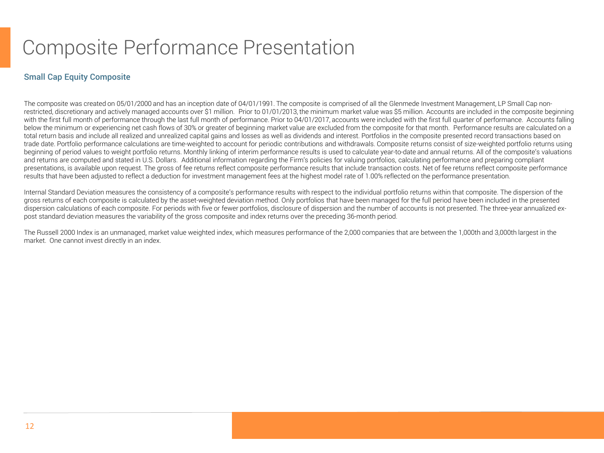# Composite Performance Presentation

### Small Cap Equity Composite

The composite was created on 05/01/2000 and has an inception date of 04/01/1991. The composite is comprised of all the Glenmede Investment Management, LP Small Cap nonrestricted, discretionary and actively managed accounts over \$1 million. Prior to 01/01/2013, the minimum market value was \$5 million. Accounts are included in the composite beginning with the first full month of performance through the last full month of performance. Prior to 04/01/2017, accounts were included with the first full quarter of performance. Accounts falling below the minimum or experiencing net cash flows of 30% or greater of beginning market value are excluded from the composite for that month. Performance results are calculated on a total return basis and include all realized and unrealized capital gains and losses as well as dividends and interest. Portfolios in the composite presented record transactions based on trade date. Portfolio performance calculations are time-weighted to account for periodic contributions and withdrawals. Composite returns consist of size-weighted portfolio returns using beginning of period values to weight portfolio returns. Monthly linking of interim performance results is used to calculate year-to-date and annual returns. All of the composite's valuations and returns are computed and stated in U.S. Dollars. Additional information regarding the Firm's policies for valuing portfolios, calculating performance and preparing compliant presentations, is available upon request. The gross of fee returns reflect composite performance results that include transaction costs. Net of fee returns reflect composite performance results that have been adjusted to reflect a deduction for investment management fees at the highest model rate of 1.00% reflected on the performance presentation.

Internal Standard Deviation measures the consistency of a composite's performance results with respect to the individual portfolio returns within that composite. The dispersion of the gross returns of each composite is calculated by the asset-weighted deviation method. Only portfolios that have been managed for the full period have been included in the presented dispersion calculations of each composite. For periods with five or fewer portfolios, disclosure of dispersion and the number of accounts is not presented. The three-year annualized expost standard deviation measures the variability of the gross composite and index returns over the preceding 36-month period.

The Russell 2000 Index is an unmanaged, market value weighted index, which measures performance of the 2,000 companies that are between the 1,000th and 3,000th largest in the market. One cannot invest directly in an index.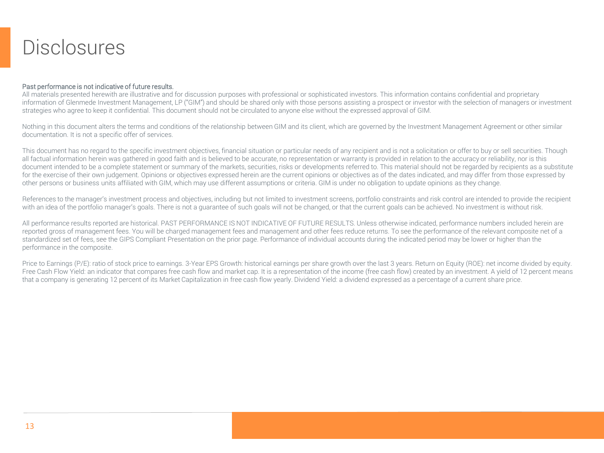# **Disclosures**

### Past performance is not indicative of future results.

All materials presented herewith are illustrative and for discussion purposes with professional or sophisticated investors. This information contains confidential and proprietary information of Glenmede Investment Management, LP ("GIM") and should be shared only with those persons assisting a prospect or investor with the selection of managers or investment strategies who agree to keep it confidential. This document should not be circulated to anyone else without the expressed approval of GIM.

Nothing in this document alters the terms and conditions of the relationship between GIM and its client, which are governed by the Investment Management Agreement or other similar documentation. It is not a specific offer of services.

This document has no regard to the specific investment objectives, financial situation or particular needs of any recipient and is not a solicitation or offer to buy or sell securities. Though all factual information herein was gathered in good faith and is believed to be accurate, no representation or warranty is provided in relation to the accuracy or reliability, nor is this document intended to be a complete statement or summary of the markets, securities, risks or developments referred to. This material should not be regarded by recipients as a substitute for the exercise of their own judgement. Opinions or objectives expressed herein are the current opinions or objectives as of the dates indicated, and may differ from those expressed by other persons or business units affiliated with GIM, which may use different assumptions or criteria. GIM is under no obligation to update opinions as they change.

References to the manager's investment process and objectives, including but not limited to investment screens, portfolio constraints and risk control are intended to provide the recipient with an idea of the portfolio manager's goals. There is not a guarantee of such goals will not be changed, or that the current goals can be achieved. No investment is without risk.

All performance results reported are historical. PAST PERFORMANCE IS NOT INDICATIVE OF FUTURE RESULTS. Unless otherwise indicated, performance numbers included herein are reported gross of management fees. You will be charged management fees and management and other fees reduce returns. To see the performance of the relevant composite net of a standardized set of fees, see the GIPS Compliant Presentation on the prior page. Performance of individual accounts during the indicated period may be lower or higher than the performance in the composite.

Price to Earnings (P/E): ratio of stock price to earnings. 3-Year EPS Growth: historical earnings per share growth over the last 3 years. Return on Equity (ROE): net income divided by equity. Free Cash Flow Yield: an indicator that compares free cash flow and market cap. It is a representation of the income (free cash flow) created by an investment. A yield of 12 percent means that a company is generating 12 percent of its Market Capitalization in free cash flow yearly. Dividend Yield: a dividend expressed as a percentage of a current share price.